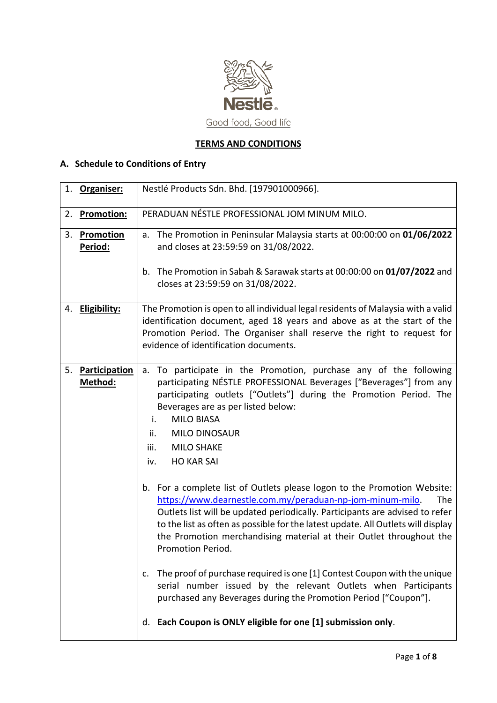

# **TERMS AND CONDITIONS**

# **A. Schedule to Conditions of Entry**

|    | 1. Organiser:            | Nestlé Products Sdn. Bhd. [197901000966].                                                                                                                                                                                                                                                                                                                                                                    |
|----|--------------------------|--------------------------------------------------------------------------------------------------------------------------------------------------------------------------------------------------------------------------------------------------------------------------------------------------------------------------------------------------------------------------------------------------------------|
| 2. | <b>Promotion:</b>        | PERADUAN NÉSTLE PROFESSIONAL JOM MINUM MILO.                                                                                                                                                                                                                                                                                                                                                                 |
| 3. | Promotion<br>Period:     | a. The Promotion in Peninsular Malaysia starts at 00:00:00 on 01/06/2022<br>and closes at 23:59:59 on 31/08/2022.<br>The Promotion in Sabah & Sarawak starts at 00:00:00 on 01/07/2022 and<br>$b_{\cdot}$                                                                                                                                                                                                    |
|    |                          | closes at 23:59:59 on 31/08/2022.                                                                                                                                                                                                                                                                                                                                                                            |
|    | 4. Eligibility:          | The Promotion is open to all individual legal residents of Malaysia with a valid<br>identification document, aged 18 years and above as at the start of the<br>Promotion Period. The Organiser shall reserve the right to request for<br>evidence of identification documents.                                                                                                                               |
| 5. | Participation<br>Method: | a. To participate in the Promotion, purchase any of the following<br>participating NÉSTLE PROFESSIONAL Beverages ["Beverages"] from any<br>participating outlets ["Outlets"] during the Promotion Period. The<br>Beverages are as per listed below:<br><b>MILO BIASA</b><br>i.<br>ii.<br><b>MILO DINOSAUR</b><br><b>MILO SHAKE</b><br>iii.<br><b>HO KAR SAI</b><br>iv.                                       |
|    |                          | b. For a complete list of Outlets please logon to the Promotion Website:<br>https://www.dearnestle.com.my/peraduan-np-jom-minum-milo.<br>The<br>Outlets list will be updated periodically. Participants are advised to refer<br>to the list as often as possible for the latest update. All Outlets will display<br>the Promotion merchandising material at their Outlet throughout the<br>Promotion Period. |
|    |                          | The proof of purchase required is one [1] Contest Coupon with the unique<br>c.<br>serial number issued by the relevant Outlets when Participants<br>purchased any Beverages during the Promotion Period ["Coupon"].                                                                                                                                                                                          |
|    |                          | Each Coupon is ONLY eligible for one [1] submission only.<br>d.                                                                                                                                                                                                                                                                                                                                              |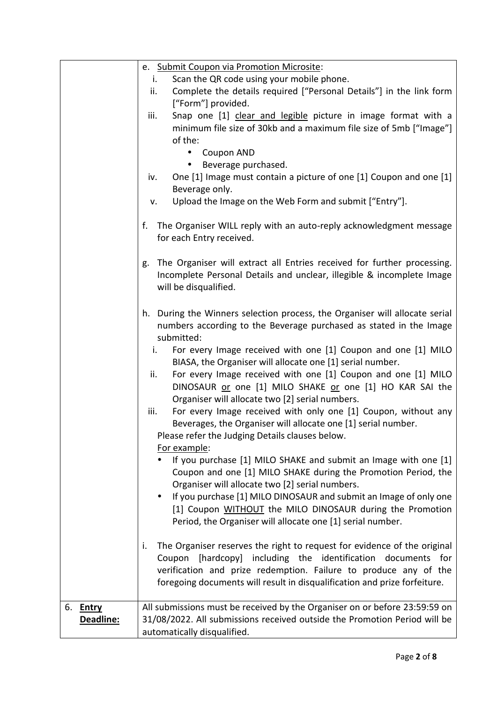|           | e. Submit Coupon via Promotion Microsite:                                      |  |  |  |
|-----------|--------------------------------------------------------------------------------|--|--|--|
|           | Scan the QR code using your mobile phone.<br>i.                                |  |  |  |
|           | Complete the details required ["Personal Details"] in the link form<br>ii.     |  |  |  |
|           | ["Form"] provided.                                                             |  |  |  |
|           | Snap one [1] clear and legible picture in image format with a<br>iii.          |  |  |  |
|           | minimum file size of 30kb and a maximum file size of 5mb ["Image"]             |  |  |  |
|           | of the:                                                                        |  |  |  |
|           | Coupon AND<br>٠                                                                |  |  |  |
|           | Beverage purchased.                                                            |  |  |  |
|           | One [1] Image must contain a picture of one [1] Coupon and one [1]<br>iv.      |  |  |  |
|           | Beverage only.                                                                 |  |  |  |
|           | Upload the Image on the Web Form and submit ["Entry"].<br>v.                   |  |  |  |
|           |                                                                                |  |  |  |
|           | The Organiser WILL reply with an auto-reply acknowledgment message<br>f.       |  |  |  |
|           | for each Entry received.                                                       |  |  |  |
|           |                                                                                |  |  |  |
|           | The Organiser will extract all Entries received for further processing.<br>g.  |  |  |  |
|           | Incomplete Personal Details and unclear, illegible & incomplete Image          |  |  |  |
|           | will be disqualified.                                                          |  |  |  |
|           |                                                                                |  |  |  |
|           | During the Winners selection process, the Organiser will allocate serial<br>h. |  |  |  |
|           | numbers according to the Beverage purchased as stated in the Image             |  |  |  |
|           | submitted:                                                                     |  |  |  |
|           |                                                                                |  |  |  |
|           | For every Image received with one [1] Coupon and one [1] MILO<br>i.            |  |  |  |
|           | BIASA, the Organiser will allocate one [1] serial number.                      |  |  |  |
|           | For every Image received with one [1] Coupon and one [1] MILO<br>ii.           |  |  |  |
|           | DINOSAUR or one [1] MILO SHAKE or one [1] HO KAR SAI the                       |  |  |  |
|           | Organiser will allocate two [2] serial numbers.                                |  |  |  |
|           | For every Image received with only one [1] Coupon, without any<br>iii.         |  |  |  |
|           | Beverages, the Organiser will allocate one [1] serial number.                  |  |  |  |
|           | Please refer the Judging Details clauses below.                                |  |  |  |
|           | For example:                                                                   |  |  |  |
|           | If you purchase [1] MILO SHAKE and submit an Image with one [1]                |  |  |  |
|           | Coupon and one [1] MILO SHAKE during the Promotion Period, the                 |  |  |  |
|           | Organiser will allocate two [2] serial numbers.                                |  |  |  |
|           | If you purchase [1] MILO DINOSAUR and submit an Image of only one<br>$\bullet$ |  |  |  |
|           | [1] Coupon WITHOUT the MILO DINOSAUR during the Promotion                      |  |  |  |
|           | Period, the Organiser will allocate one [1] serial number.                     |  |  |  |
|           |                                                                                |  |  |  |
|           | The Organiser reserves the right to request for evidence of the original<br>i. |  |  |  |
|           | Coupon [hardcopy] including the identification documents for                   |  |  |  |
|           | verification and prize redemption. Failure to produce any of the               |  |  |  |
|           | foregoing documents will result in disqualification and prize forfeiture.      |  |  |  |
|           |                                                                                |  |  |  |
| 6. Entry  | All submissions must be received by the Organiser on or before 23:59:59 on     |  |  |  |
| Deadline: | 31/08/2022. All submissions received outside the Promotion Period will be      |  |  |  |
|           | automatically disqualified.                                                    |  |  |  |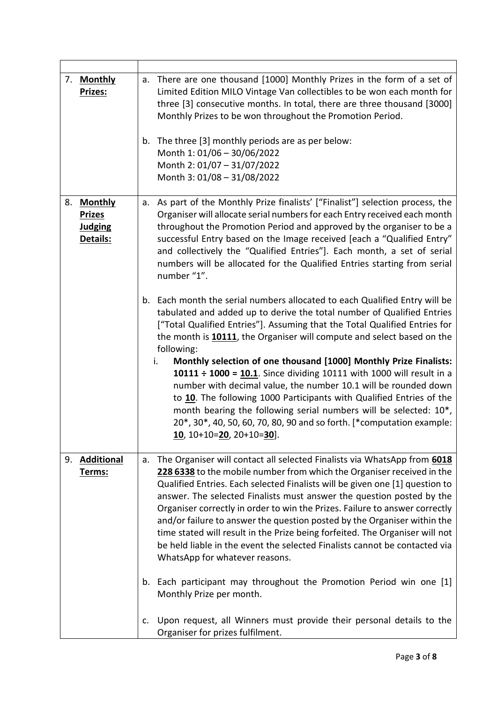| 7. | <u>Monthly</u><br>Prizes:                                     | There are one thousand [1000] Monthly Prizes in the form of a set of<br>a.<br>Limited Edition MILO Vintage Van collectibles to be won each month for<br>three [3] consecutive months. In total, there are three thousand [3000]<br>Monthly Prizes to be won throughout the Promotion Period.<br>The three [3] monthly periods are as per below:<br>b.<br>Month 1: 01/06 - 30/06/2022<br>Month 2: 01/07 - 31/07/2022<br>Month 3: 01/08 - 31/08/2022                                                                                                                                                                                                                                                                                                                                                                                          |
|----|---------------------------------------------------------------|---------------------------------------------------------------------------------------------------------------------------------------------------------------------------------------------------------------------------------------------------------------------------------------------------------------------------------------------------------------------------------------------------------------------------------------------------------------------------------------------------------------------------------------------------------------------------------------------------------------------------------------------------------------------------------------------------------------------------------------------------------------------------------------------------------------------------------------------|
| 8. | <b>Monthly</b><br><b>Prizes</b><br><b>Judging</b><br>Details: | As part of the Monthly Prize finalists' ["Finalist"] selection process, the<br>a.<br>Organiser will allocate serial numbers for each Entry received each month<br>throughout the Promotion Period and approved by the organiser to be a<br>successful Entry based on the Image received [each a "Qualified Entry"<br>and collectively the "Qualified Entries"]. Each month, a set of serial<br>numbers will be allocated for the Qualified Entries starting from serial<br>number "1".                                                                                                                                                                                                                                                                                                                                                      |
|    |                                                               | Each month the serial numbers allocated to each Qualified Entry will be<br>b.<br>tabulated and added up to derive the total number of Qualified Entries<br>["Total Qualified Entries"]. Assuming that the Total Qualified Entries for<br>the month is 10111, the Organiser will compute and select based on the<br>following:<br>Monthly selection of one thousand [1000] Monthly Prize Finalists:<br>i.<br>10111 ÷ 1000 = 10.1. Since dividing 10111 with 1000 will result in a<br>number with decimal value, the number 10.1 will be rounded down<br>to 10. The following 1000 Participants with Qualified Entries of the<br>month bearing the following serial numbers will be selected: 10*,<br>20*, 30*, 40, 50, 60, 70, 80, 90 and so forth. [*computation example:<br><u>10</u> , 10+10= <mark>20</mark> , 20+10= <mark>30</mark> ]. |
| 9. | <b>Additional</b><br><u>Terms:</u>                            | The Organiser will contact all selected Finalists via WhatsApp from 6018<br>a.<br>228 6338 to the mobile number from which the Organiser received in the<br>Qualified Entries. Each selected Finalists will be given one [1] question to<br>answer. The selected Finalists must answer the question posted by the<br>Organiser correctly in order to win the Prizes. Failure to answer correctly<br>and/or failure to answer the question posted by the Organiser within the<br>time stated will result in the Prize being forfeited. The Organiser will not<br>be held liable in the event the selected Finalists cannot be contacted via<br>WhatsApp for whatever reasons.                                                                                                                                                                |
|    |                                                               | Each participant may throughout the Promotion Period win one [1]<br>b.<br>Monthly Prize per month.                                                                                                                                                                                                                                                                                                                                                                                                                                                                                                                                                                                                                                                                                                                                          |
|    |                                                               | Upon request, all Winners must provide their personal details to the<br>c.<br>Organiser for prizes fulfilment.                                                                                                                                                                                                                                                                                                                                                                                                                                                                                                                                                                                                                                                                                                                              |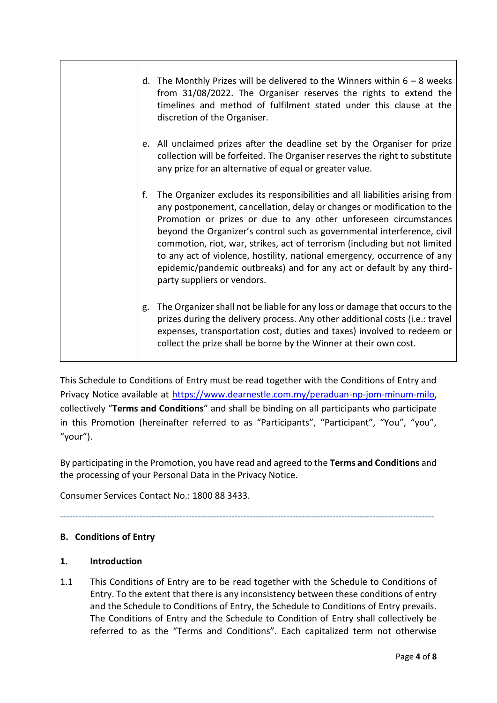| d. | The Monthly Prizes will be delivered to the Winners within $6 - 8$ weeks<br>from 31/08/2022. The Organiser reserves the rights to extend the<br>timelines and method of fulfilment stated under this clause at the<br>discretion of the Organiser.                                                                                                                                                                                                                                                                                                                       |
|----|--------------------------------------------------------------------------------------------------------------------------------------------------------------------------------------------------------------------------------------------------------------------------------------------------------------------------------------------------------------------------------------------------------------------------------------------------------------------------------------------------------------------------------------------------------------------------|
|    | e. All unclaimed prizes after the deadline set by the Organiser for prize<br>collection will be forfeited. The Organiser reserves the right to substitute<br>any prize for an alternative of equal or greater value.                                                                                                                                                                                                                                                                                                                                                     |
| f. | The Organizer excludes its responsibilities and all liabilities arising from<br>any postponement, cancellation, delay or changes or modification to the<br>Promotion or prizes or due to any other unforeseen circumstances<br>beyond the Organizer's control such as governmental interference, civil<br>commotion, riot, war, strikes, act of terrorism (including but not limited<br>to any act of violence, hostility, national emergency, occurrence of any<br>epidemic/pandemic outbreaks) and for any act or default by any third-<br>party suppliers or vendors. |
| g. | The Organizer shall not be liable for any loss or damage that occurs to the<br>prizes during the delivery process. Any other additional costs (i.e.: travel<br>expenses, transportation cost, duties and taxes) involved to redeem or<br>collect the prize shall be borne by the Winner at their own cost.                                                                                                                                                                                                                                                               |

This Schedule to Conditions of Entry must be read together with the Conditions of Entry and Privacy Notice available at [https://www.dearnestle.com.my/peraduan-np-jom-minum-milo,](https://www.dearnestle.com.my/peraduan-np-jom-minum-milo) collectively "**Terms and Conditions**" and shall be binding on all participants who participate in this Promotion (hereinafter referred to as "Participants", "Participant", "You", "you", "your").

By participating in the Promotion, you have read and agreed to the **Terms and Conditions** and the processing of your Personal Data in the Privacy Notice.

--------------------------------------------------------------------------------------------------------------------------

Consumer Services Contact No.: 1800 88 3433.

## **B. Conditions of Entry**

### **1. Introduction**

1.1 This Conditions of Entry are to be read together with the Schedule to Conditions of Entry. To the extent that there is any inconsistency between these conditions of entry and the Schedule to Conditions of Entry, the Schedule to Conditions of Entry prevails. The Conditions of Entry and the Schedule to Condition of Entry shall collectively be referred to as the "Terms and Conditions". Each capitalized term not otherwise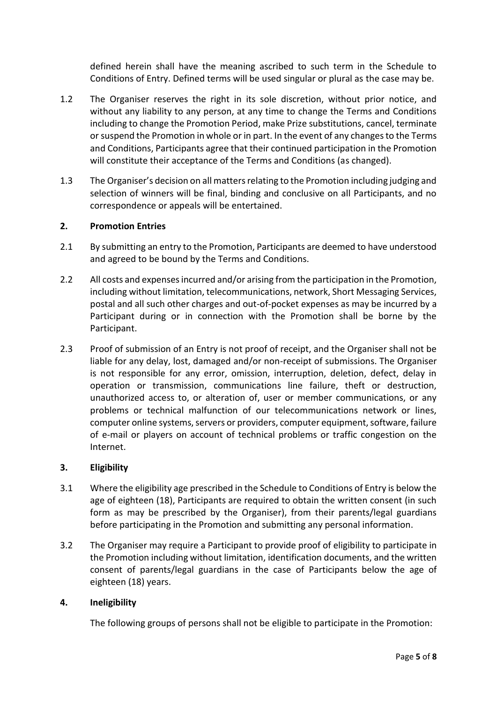defined herein shall have the meaning ascribed to such term in the Schedule to Conditions of Entry. Defined terms will be used singular or plural as the case may be.

- 1.2 The Organiser reserves the right in its sole discretion, without prior notice, and without any liability to any person, at any time to change the Terms and Conditions including to change the Promotion Period, make Prize substitutions, cancel, terminate or suspend the Promotion in whole or in part. In the event of any changes to the Terms and Conditions, Participants agree that their continued participation in the Promotion will constitute their acceptance of the Terms and Conditions (as changed).
- 1.3 The Organiser's decision on all matters relating to the Promotion including judging and selection of winners will be final, binding and conclusive on all Participants, and no correspondence or appeals will be entertained.

### **2. Promotion Entries**

- 2.1 By submitting an entry to the Promotion, Participants are deemed to have understood and agreed to be bound by the Terms and Conditions.
- 2.2 All costs and expenses incurred and/or arising from the participation in the Promotion, including without limitation, telecommunications, network, Short Messaging Services, postal and all such other charges and out-of-pocket expenses as may be incurred by a Participant during or in connection with the Promotion shall be borne by the Participant.
- 2.3 Proof of submission of an Entry is not proof of receipt, and the Organiser shall not be liable for any delay, lost, damaged and/or non-receipt of submissions. The Organiser is not responsible for any error, omission, interruption, deletion, defect, delay in operation or transmission, communications line failure, theft or destruction, unauthorized access to, or alteration of, user or member communications, or any problems or technical malfunction of our telecommunications network or lines, computer online systems, servers or providers, computer equipment, software, failure of e-mail or players on account of technical problems or traffic congestion on the Internet.

#### **3. Eligibility**

- 3.1 Where the eligibility age prescribed in the Schedule to Conditions of Entry is below the age of eighteen (18), Participants are required to obtain the written consent (in such form as may be prescribed by the Organiser), from their parents/legal guardians before participating in the Promotion and submitting any personal information.
- 3.2 The Organiser may require a Participant to provide proof of eligibility to participate in the Promotion including without limitation, identification documents, and the written consent of parents/legal guardians in the case of Participants below the age of eighteen (18) years.

#### **4. Ineligibility**

The following groups of persons shall not be eligible to participate in the Promotion: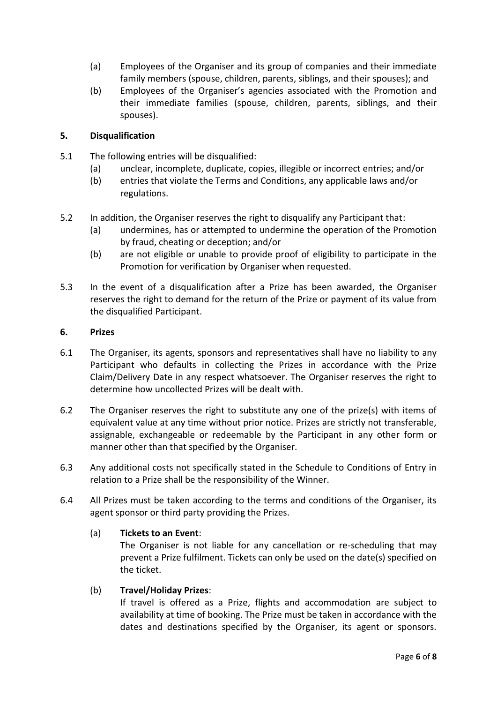- (a) Employees of the Organiser and its group of companies and their immediate family members (spouse, children, parents, siblings, and their spouses); and
- (b) Employees of the Organiser's agencies associated with the Promotion and their immediate families (spouse, children, parents, siblings, and their spouses).

#### **5. Disqualification**

- 5.1 The following entries will be disqualified:
	- (a) unclear, incomplete, duplicate, copies, illegible or incorrect entries; and/or
	- (b) entries that violate the Terms and Conditions, any applicable laws and/or regulations.
- 5.2 In addition, the Organiser reserves the right to disqualify any Participant that:
	- (a) undermines, has or attempted to undermine the operation of the Promotion by fraud, cheating or deception; and/or
	- (b) are not eligible or unable to provide proof of eligibility to participate in the Promotion for verification by Organiser when requested.
- 5.3 In the event of a disqualification after a Prize has been awarded, the Organiser reserves the right to demand for the return of the Prize or payment of its value from the disqualified Participant.

#### **6. Prizes**

- 6.1 The Organiser, its agents, sponsors and representatives shall have no liability to any Participant who defaults in collecting the Prizes in accordance with the Prize Claim/Delivery Date in any respect whatsoever. The Organiser reserves the right to determine how uncollected Prizes will be dealt with.
- 6.2 The Organiser reserves the right to substitute any one of the prize(s) with items of equivalent value at any time without prior notice. Prizes are strictly not transferable, assignable, exchangeable or redeemable by the Participant in any other form or manner other than that specified by the Organiser.
- 6.3 Any additional costs not specifically stated in the Schedule to Conditions of Entry in relation to a Prize shall be the responsibility of the Winner.
- 6.4 All Prizes must be taken according to the terms and conditions of the Organiser, its agent sponsor or third party providing the Prizes.

#### (a) **Tickets to an Event**:

The Organiser is not liable for any cancellation or re-scheduling that may prevent a Prize fulfilment. Tickets can only be used on the date(s) specified on the ticket.

#### (b) **Travel/Holiday Prizes**:

If travel is offered as a Prize, flights and accommodation are subject to availability at time of booking. The Prize must be taken in accordance with the dates and destinations specified by the Organiser, its agent or sponsors.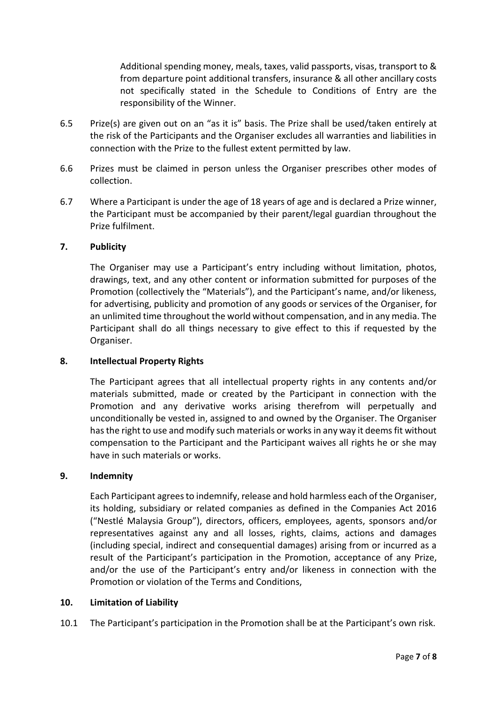Additional spending money, meals, taxes, valid passports, visas, transport to & from departure point additional transfers, insurance & all other ancillary costs not specifically stated in the Schedule to Conditions of Entry are the responsibility of the Winner.

- 6.5 Prize(s) are given out on an "as it is" basis. The Prize shall be used/taken entirely at the risk of the Participants and the Organiser excludes all warranties and liabilities in connection with the Prize to the fullest extent permitted by law.
- 6.6 Prizes must be claimed in person unless the Organiser prescribes other modes of collection.
- 6.7 Where a Participant is under the age of 18 years of age and is declared a Prize winner, the Participant must be accompanied by their parent/legal guardian throughout the Prize fulfilment.

#### **7. Publicity**

The Organiser may use a Participant's entry including without limitation, photos, drawings, text, and any other content or information submitted for purposes of the Promotion (collectively the "Materials"), and the Participant's name, and/or likeness, for advertising, publicity and promotion of any goods or services of the Organiser, for an unlimited time throughout the world without compensation, and in any media. The Participant shall do all things necessary to give effect to this if requested by the Organiser.

#### **8. Intellectual Property Rights**

The Participant agrees that all intellectual property rights in any contents and/or materials submitted, made or created by the Participant in connection with the Promotion and any derivative works arising therefrom will perpetually and unconditionally be vested in, assigned to and owned by the Organiser. The Organiser has the right to use and modify such materials or works in any way it deems fit without compensation to the Participant and the Participant waives all rights he or she may have in such materials or works.

#### **9. Indemnity**

Each Participant agrees to indemnify, release and hold harmless each of the Organiser, its holding, subsidiary or related companies as defined in the Companies Act 2016 ("Nestlé Malaysia Group"), directors, officers, employees, agents, sponsors and/or representatives against any and all losses, rights, claims, actions and damages (including special, indirect and consequential damages) arising from or incurred as a result of the Participant's participation in the Promotion, acceptance of any Prize, and/or the use of the Participant's entry and/or likeness in connection with the Promotion or violation of the Terms and Conditions,

#### **10. Limitation of Liability**

10.1 The Participant's participation in the Promotion shall be at the Participant's own risk.